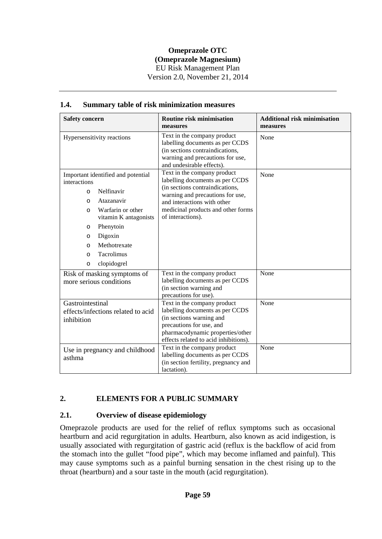| <b>Safety concern</b>                                                                                                                                                                                                                | <b>Routine risk minimisation</b>                                                                                                                                                                    | <b>Additional risk minimisation</b> |
|--------------------------------------------------------------------------------------------------------------------------------------------------------------------------------------------------------------------------------------|-----------------------------------------------------------------------------------------------------------------------------------------------------------------------------------------------------|-------------------------------------|
|                                                                                                                                                                                                                                      | measures                                                                                                                                                                                            | measures                            |
| Hypersensitivity reactions                                                                                                                                                                                                           | Text in the company product<br>labelling documents as per CCDS<br>(in sections contraindications,<br>warning and precautions for use,<br>and undesirable effects).                                  | None                                |
| Important identified and potential<br>interactions                                                                                                                                                                                   | Text in the company product<br>labelling documents as per CCDS                                                                                                                                      | None                                |
| Nelfinavir<br>$\circ$<br>Atazanavir<br>$\circ$<br>Warfarin or other<br>$\circ$<br>vitamin K antagonists<br>Phenytoin<br>$\circ$<br>Digoxin<br>$\circ$<br>Methotrexate<br>$\circ$<br>Tacrolimus<br>$\Omega$<br>clopidogrel<br>$\circ$ | (in sections contraindications,<br>warning and precautions for use,<br>and interactions with other<br>medicinal products and other forms<br>of interactions).                                       |                                     |
| Risk of masking symptoms of<br>more serious conditions                                                                                                                                                                               | Text in the company product<br>labelling documents as per CCDS<br>(in section warning and<br>precautions for use).                                                                                  | None                                |
| Gastrointestinal<br>effects/infections related to acid<br>inhibition                                                                                                                                                                 | Text in the company product<br>labelling documents as per CCDS<br>(in sections warning and<br>precautions for use, and<br>pharmacodynamic properties/other<br>effects related to acid inhibitions). | None                                |
| Use in pregnancy and childhood<br>asthma                                                                                                                                                                                             | Text in the company product<br>labelling documents as per CCDS<br>(in section fertility, pregnancy and<br>lactation).                                                                               | None                                |

### **1.4. Summary table of risk minimization measures**

# **2. ELEMENTS FOR A PUBLIC SUMMARY**

### **2.1. Overview of disease epidemiology**

Omeprazole products are used for the relief of reflux symptoms such as occasional heartburn and acid regurgitation in adults. Heartburn, also known as acid indigestion, is usually associated with regurgitation of gastric acid (reflux is the backflow of acid from the stomach into the gullet "food pipe", which may become inflamed and painful). This may cause symptoms such as a painful burning sensation in the chest rising up to the throat (heartburn) and a sour taste in the mouth (acid regurgitation).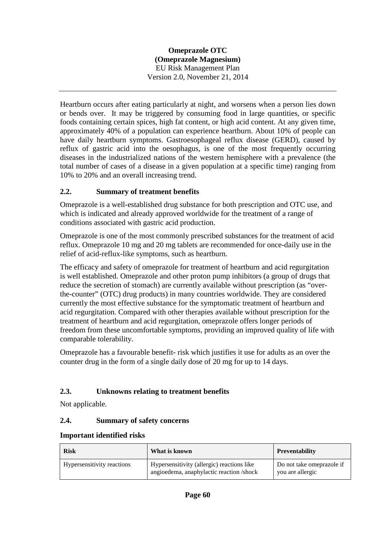Heartburn occurs after eating particularly at night, and worsens when a person lies down or bends over. It may be triggered by consuming food in large quantities, or specific foods containing certain spices, high fat content, or high acid content. At any given time, approximately 40% of a population can experience heartburn. About 10% of people can have daily heartburn symptoms. Gastroesophageal reflux disease (GERD), caused by reflux of gastric acid into the oesophagus, is one of the most frequently occurring diseases in the industrialized nations of the western hemisphere with a prevalence (the total number of cases of a disease in a given population at a specific time) ranging from 10% to 20% and an overall increasing trend.

## **2.2. Summary of treatment benefits**

Omeprazole is a well-established drug substance for both prescription and OTC use, and which is indicated and already approved worldwide for the treatment of a range of conditions associated with gastric acid production.

Omeprazole is one of the most commonly prescribed substances for the treatment of acid reflux. Omeprazole 10 mg and 20 mg tablets are recommended for once-daily use in the relief of acid-reflux-like symptoms, such as heartburn.

The efficacy and safety of omeprazole for treatment of heartburn and acid regurgitation is well established. Omeprazole and other proton pump inhibitors (a group of drugs that reduce the secretion of stomach) are currently available without prescription (as "overthe-counter" (OTC) drug products) in many countries worldwide. They are considered currently the most effective substance for the symptomatic treatment of heartburn and acid regurgitation. Compared with other therapies available without prescription for the treatment of heartburn and acid regurgitation, omeprazole offers longer periods of freedom from these uncomfortable symptoms, providing an improved quality of life with comparable tolerability.

Omeprazole has a favourable benefit- risk which justifies it use for adults as an over the counter drug in the form of a single daily dose of 20 mg for up to 14 days.

# **2.3. Unknowns relating to treatment benefits**

Not applicable.

### **2.4. Summary of safety concerns**

| <b>Risk</b>                | What is known                                                                          | <b>Preventability</b>                         |
|----------------------------|----------------------------------------------------------------------------------------|-----------------------------------------------|
| Hypersensitivity reactions | Hypersensitivity (allergic) reactions like<br>angioedema, anaphylactic reaction /shock | Do not take omeprazole if<br>you are allergic |

#### **Important identified risks**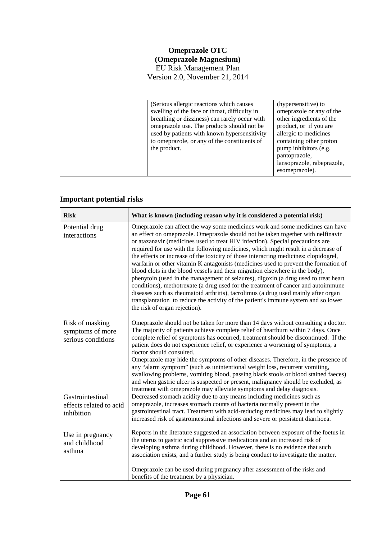(Serious allergic reactions which causes swelling of the face or throat, difficulty in breathing or dizziness) can rarely occur with omeprazole use. The products should not be used by patients with known hypersensitivity to omeprazole, or any of the constituents of the product. (hypersensitive) to omeprazole or any of the other ingredients of the product, or if you are allergic to medicines containing other proton pump inhibitors (e.g. pantoprazole, lansoprazole, rabeprazole, esomeprazole).

#### **Important potential risks**

| <b>Risk</b>                                               | What is known (including reason why it is considered a potential risk)                                                                                                                                                                                                                                                                                                                                                                                                                                                                                                                                                                                                                                                                                                                                                                                                                                                                                                                            |
|-----------------------------------------------------------|---------------------------------------------------------------------------------------------------------------------------------------------------------------------------------------------------------------------------------------------------------------------------------------------------------------------------------------------------------------------------------------------------------------------------------------------------------------------------------------------------------------------------------------------------------------------------------------------------------------------------------------------------------------------------------------------------------------------------------------------------------------------------------------------------------------------------------------------------------------------------------------------------------------------------------------------------------------------------------------------------|
| Potential drug<br>interactions                            | Omeprazole can affect the way some medicines work and some medicines can have<br>an effect on omeprazole. Omeprazole should not be taken together with nelfinavir<br>or atazanavir (medicines used to treat HIV infection). Special precautions are<br>required for use with the following medicines, which might result in a decrease of<br>the effects or increase of the toxicity of those interacting medicines: clopidogrel,<br>warfarin or other vitamin K antagonists (medicines used to prevent the formation of<br>blood clots in the blood vessels and their migration elsewhere in the body),<br>phenytoin (used in the management of seizures), digoxin (a drug used to treat heart<br>conditions), methotrexate (a drug used for the treatment of cancer and autoimmune<br>diseases such as rheumatoid arthritis), tacrolimus (a drug used mainly after organ<br>transplantation to reduce the activity of the patient's immune system and so lower<br>the risk of organ rejection). |
| Risk of masking<br>symptoms of more<br>serious conditions | Omeprazole should not be taken for more than 14 days without consulting a doctor.<br>The majority of patients achieve complete relief of heartburn within 7 days. Once<br>complete relief of symptoms has occurred, treatment should be discontinued. If the<br>patient does do not experience relief, or experience a worsening of symptoms, a<br>doctor should consulted.<br>Omeprazole may hide the symptoms of other diseases. Therefore, in the presence of<br>any "alarm symptom" (such as unintentional weight loss, recurrent vomiting,<br>swallowing problems, vomiting blood, passing black stools or blood stained faeces)<br>and when gastric ulcer is suspected or present, malignancy should be excluded, as<br>treatment with omeprazole may alleviate symptoms and delay diagnosis.                                                                                                                                                                                               |
| Gastrointestinal<br>effects related to acid<br>inhibition | Decreased stomach acidity due to any means including medicines such as<br>omeprazole, increases stomach counts of bacteria normally present in the<br>gastrointestinal tract. Treatment with acid-reducing medicines may lead to slightly<br>increased risk of gastrointestinal infections and severe or persistent diarrhoea.                                                                                                                                                                                                                                                                                                                                                                                                                                                                                                                                                                                                                                                                    |
| Use in pregnancy<br>and childhood<br>asthma               | Reports in the literature suggested an association between exposure of the foetus in<br>the uterus to gastric acid suppressive medications and an increased risk of<br>developing asthma during childhood. However, there is no evidence that such<br>association exists, and a further study is being conduct to investigate the matter.<br>Omeprazole can be used during pregnancy after assessment of the risks and<br>benefits of the treatment by a physician.                                                                                                                                                                                                                                                                                                                                                                                                                                                                                                                               |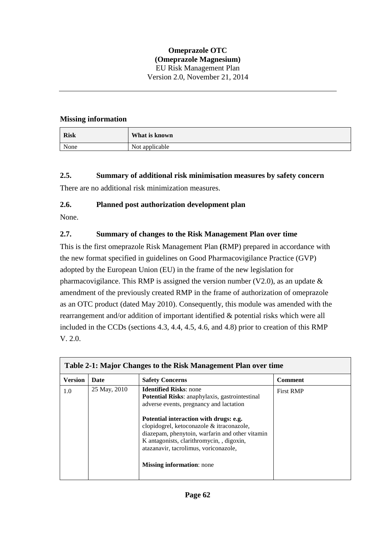#### **Missing information**

| <b>Risk</b> | What is known  |
|-------------|----------------|
| None        | Not applicable |

**2.5. Summary of additional risk minimisation measures by safety concern**

There are no additional risk minimization measures.

#### **2.6. Planned post authorization development plan**

None.

### **2.7. Summary of changes to the Risk Management Plan over time**

This is the first omeprazole Risk Management Plan **(**RMP) prepared in accordance with the new format specified in guidelines on Good Pharmacovigilance Practice (GVP) adopted by the European Union (EU) in the frame of the new legislation for pharmacovigilance. This RMP is assigned the version number (V2.0), as an update  $\&$ amendment of the previously created RMP in the frame of authorization of omeprazole as an OTC product (dated May 2010). Consequently, this module was amended with the rearrangement and/or addition of important identified & potential risks which were all included in the CCDs (sections 4.3, 4.4, 4.5, 4.6, and 4.8) prior to creation of this RMP V. 2.0.

| Table 2-1: Major Changes to the Risk Management Plan over time |              |                                                                                                                                                                                                                                                                                                                                                                                                       |                  |
|----------------------------------------------------------------|--------------|-------------------------------------------------------------------------------------------------------------------------------------------------------------------------------------------------------------------------------------------------------------------------------------------------------------------------------------------------------------------------------------------------------|------------------|
| <b>Version</b>                                                 | Date         | <b>Safety Concerns</b>                                                                                                                                                                                                                                                                                                                                                                                | <b>Comment</b>   |
| 1.0                                                            | 25 May, 2010 | <b>Identified Risks: none</b><br><b>Potential Risks:</b> anaphylaxis, gastrointestinal<br>adverse events, pregnancy and lactation<br>Potential interaction with drugs: e.g.<br>clopidogrel, ketoconazole & itraconazole,<br>diazepam, phenytoin, warfarin and other vitamin<br>K antagonists, clarithromycin, , digoxin,<br>atazanavir, tacrolimus, voriconazole,<br><b>Missing information:</b> none | <b>First RMP</b> |
|                                                                |              |                                                                                                                                                                                                                                                                                                                                                                                                       |                  |